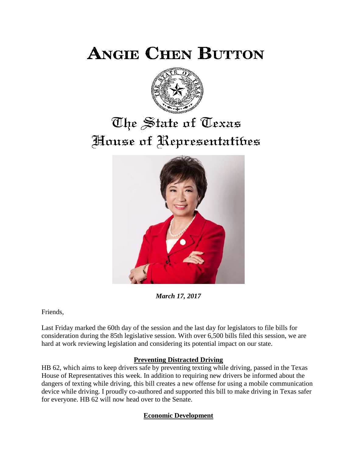**ANGIE CHEN BUTTON** 



## The State of Texas House of Representatibes



*March 17, 2017*

Friends,

Last Friday marked the 60th day of the session and the last day for legislators to file bills for consideration during the 85th legislative session. With over 6,500 bills filed this session, we are hard at work reviewing legislation and considering its potential impact on our state.

## **Preventing Distracted Driving**

HB 62, which aims to keep drivers safe by preventing texting while driving, passed in the Texas House of Representatives this week. In addition to requiring new drivers be informed about the dangers of texting while driving, this bill creates a new offense for using a mobile communication device while driving. I proudly co-authored and supported this bill to make driving in Texas safer for everyone. HB 62 will now head over to the Senate.

## **Economic Development**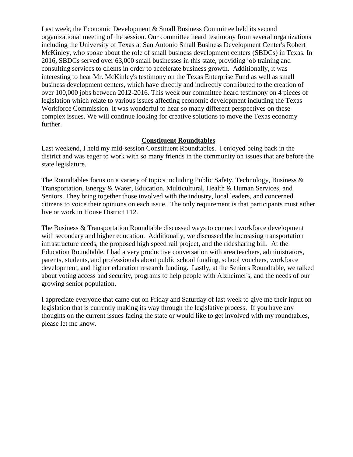Last week, the Economic Development & Small Business Committee held its second organizational meeting of the session. Our committee heard testimony from several organizations including the University of Texas at San Antonio Small Business Development Center's Robert McKinley, who spoke about the role of small business development centers (SBDCs) in Texas. In 2016, SBDCs served over 63,000 small businesses in this state, providing job training and consulting services to clients in order to accelerate business growth. Additionally, it was interesting to hear Mr. McKinley's testimony on the Texas Enterprise Fund as well as small business development centers, which have directly and indirectly contributed to the creation of over 100,000 jobs between 2012-2016. This week our committee heard testimony on 4 pieces of legislation which relate to various issues affecting economic development including the Texas Workforce Commission. It was wonderful to hear so many different perspectives on these complex issues. We will continue looking for creative solutions to move the Texas economy further.

## **Constituent Roundtables**

Last weekend, I held my mid-session Constituent Roundtables. I enjoyed being back in the district and was eager to work with so many friends in the community on issues that are before the state legislature.

The Roundtables focus on a variety of topics including Public Safety, Technology, Business  $\&$ Transportation, Energy & Water, Education, Multicultural, Health & Human Services, and Seniors. They bring together those involved with the industry, local leaders, and concerned citizens to voice their opinions on each issue. The only requirement is that participants must either live or work in House District 112.

The Business & Transportation Roundtable discussed ways to connect workforce development with secondary and higher education. Additionally, we discussed the increasing transportation infrastructure needs, the proposed high speed rail project, and the ridesharing bill. At the Education Roundtable, I had a very productive conversation with area teachers, administrators, parents, students, and professionals about public school funding, school vouchers, workforce development, and higher education research funding. Lastly, at the Seniors Roundtable, we talked about voting access and security, programs to help people with Alzheimer's, and the needs of our growing senior population.

I appreciate everyone that came out on Friday and Saturday of last week to give me their input on legislation that is currently making its way through the legislative process. If you have any thoughts on the current issues facing the state or would like to get involved with my roundtables, please let me know.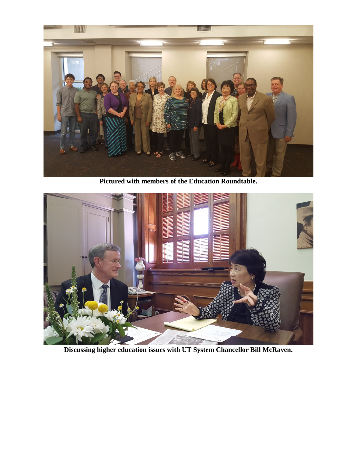

**Pictured with members of the Education Roundtable.**



**Discussing higher education issues with UT System Chancellor Bill McRaven.**